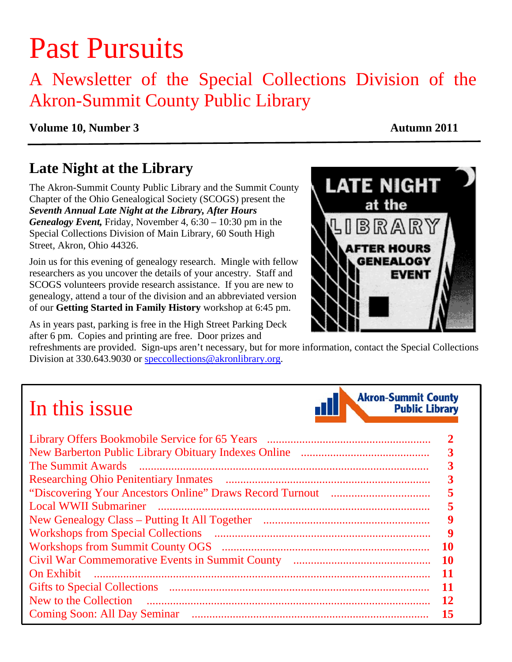# Past Pursuits

# A Newsletter of the Special Collections Division of the Akron-Summit County Public Library

## **Volume 10, Number 3** Autumn 2011

# **Late Night at the Library**

The Akron-Summit County Public Library and the Summit County Chapter of the Ohio Genealogical Society (SCOGS) present the *Seventh Annual Late Night at the Library, After Hours Genealogy Event,* Friday, November 4, 6:30 – 10:30 pm in the Special Collections Division of Main Library, 60 South High Street, Akron, Ohio 44326.

Join us for this evening of genealogy research. Mingle with fellow researchers as you uncover the details of your ancestry. Staff and SCOGS volunteers provide research assistance. If you are new to genealogy, attend a tour of the division and an abbreviated version of our **Getting Started in Family History** workshop at 6:45 pm.

As in years past, parking is free in the High Street Parking Deck after 6 pm. Copies and printing are free. Door prizes and

refreshments are provided. Sign-ups aren't necessary, but for more information, contact the Special Collections Division at 330.643.9030 or speccollections@akronlibrary.org.

# In this issue

| $\begin{minipage}{0.5\textwidth} \begin{tabular}{ l l l } \hline \multicolumn{1}{ l l } \hline \multicolumn{1}{ l } \multicolumn{1}{ l } \multicolumn{1}{ l } \multicolumn{1}{ l } \multicolumn{1}{ l } \multicolumn{1}{ l } \multicolumn{1}{ l } \multicolumn{1}{ l } \multicolumn{1}{ l } \multicolumn{1}{ l } \multicolumn{1}{ l } \multicolumn{1}{ l } \multicolumn{1}{ l } \multicolumn{1}{ l } \multicolumn{1}{ l } \multicolumn{1}{ $<br>The Summit Awards |     |
|-------------------------------------------------------------------------------------------------------------------------------------------------------------------------------------------------------------------------------------------------------------------------------------------------------------------------------------------------------------------------------------------------------------------------------------------------------------------|-----|
|                                                                                                                                                                                                                                                                                                                                                                                                                                                                   |     |
|                                                                                                                                                                                                                                                                                                                                                                                                                                                                   |     |
| <b>Local WWII Submariner</b>                                                                                                                                                                                                                                                                                                                                                                                                                                      |     |
|                                                                                                                                                                                                                                                                                                                                                                                                                                                                   | 9   |
|                                                                                                                                                                                                                                                                                                                                                                                                                                                                   | Y   |
|                                                                                                                                                                                                                                                                                                                                                                                                                                                                   | 10  |
|                                                                                                                                                                                                                                                                                                                                                                                                                                                                   | -10 |
| On Exhibit                                                                                                                                                                                                                                                                                                                                                                                                                                                        | -11 |
|                                                                                                                                                                                                                                                                                                                                                                                                                                                                   | 11  |
| New to the Collection                                                                                                                                                                                                                                                                                                                                                                                                                                             | 12  |
| <b>Coming Soon: All Day Seminar</b>                                                                                                                                                                                                                                                                                                                                                                                                                               | 15  |



**Akron-Summit County Public Library**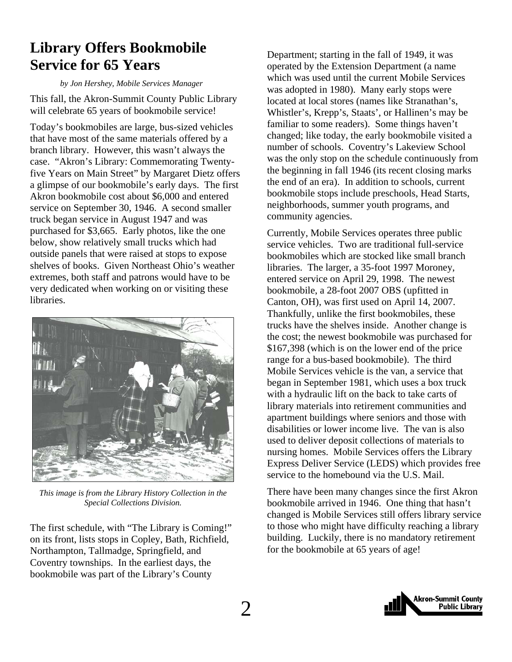# <span id="page-1-0"></span>**Library Offers Bookmobile Service for 65 Years**

*by Jon Hershey, Mobile Services Manager* 

This fall, the Akron-Summit County Public Library will celebrate 65 years of bookmobile service!

Today's bookmobiles are large, bus-sized vehicles that have most of the same materials offered by a branch library. However, this wasn't always the case. "Akron's Library: Commemorating Twentyfive Years on Main Street" by Margaret Dietz offers a glimpse of our bookmobile's early days. The first Akron bookmobile cost about \$6,000 and entered service on September 30, 1946. A second smaller truck began service in August 1947 and was purchased for \$3,665. Early photos, like the one below, show relatively small trucks which had outside panels that were raised at stops to expose shelves of books. Given Northeast Ohio's weather extremes, both staff and patrons would have to be very dedicated when working on or visiting these libraries.



*This image is from the Library History Collection in the Special Collections Division.* 

The first schedule, with "The Library is Coming!" on its front, lists stops in Copley, Bath, Richfield, Northampton, Tallmadge, Springfield, and Coventry townships. In the earliest days, the bookmobile was part of the Library's County

Department; starting in the fall of 1949, it was operated by the Extension Department (a name which was used until the current Mobile Services was adopted in 1980). Many early stops were located at local stores (names like Stranathan's, Whistler's, Krepp's, Staats', or Hallinen's may be familiar to some readers). Some things haven't changed; like today, the early bookmobile visited a number of schools. Coventry's Lakeview School was the only stop on the schedule continuously from the beginning in fall 1946 (its recent closing marks the end of an era). In addition to schools, current bookmobile stops include preschools, Head Starts, neighborhoods, summer youth programs, and community agencies.

Currently, Mobile Services operates three public service vehicles. Two are traditional full-service bookmobiles which are stocked like small branch libraries. The larger, a 35-foot 1997 Moroney, entered service on April 29, 1998. The newest bookmobile, a 28-foot 2007 OBS (upfitted in Canton, OH), was first used on April 14, 2007. Thankfully, unlike the first bookmobiles, these trucks have the shelves inside. Another change is the cost; the newest bookmobile was purchased for \$167,398 (which is on the lower end of the price range for a bus-based bookmobile). The third Mobile Services vehicle is the van, a service that began in September 1981, which uses a box truck with a hydraulic lift on the back to take carts of library materials into retirement communities and apartment buildings where seniors and those with disabilities or lower income live. The van is also used to deliver deposit collections of materials to nursing homes. Mobile Services offers the Library Express Deliver Service (LEDS) which provides free service to the homebound via the U.S. Mail.

There have been many changes since the first Akron bookmobile arrived in 1946. One thing that hasn't changed is Mobile Services still offers library service to those who might have difficulty reaching a library building. Luckily, there is no mandatory retirement for the bookmobile at 65 years of age!

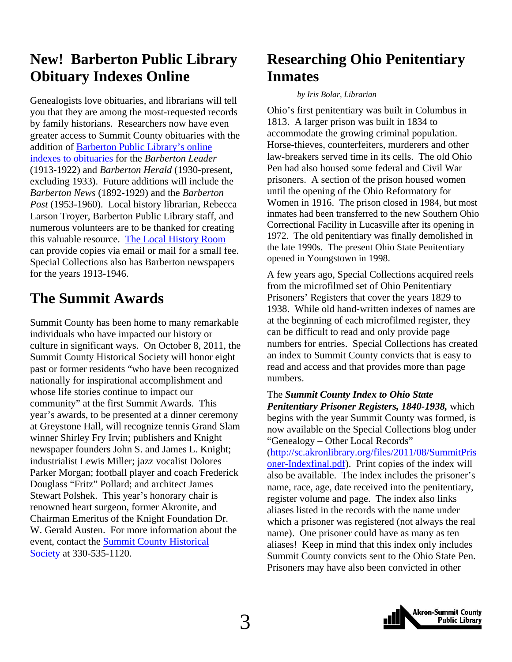# <span id="page-2-0"></span>**New! Barberton Public Library Obituary Indexes Online**

Genealogists love obituaries, and librarians will tell you that they are among the most-requested records by family historians. Researchers now have even greater access to Summit County obituaries with the [addition of Barberton Public Library's online](http://www.barbertonlibrary.org/Local_History_Room/Obituary_Indexes-2)  indexes to obituaries for the *Barberton Leader* (1913-1922) and *Barberton Herald* (1930-present, excluding 1933). Future additions will include the *Barberton News* (1892-1929) and the *Barberton Post* (1953-1960). Local history librarian, Rebecca Larson Troyer, Barberton Public Library staff, and numerous volunteers are to be thanked for creating this valuable resource. [The Local History Room](http://www.barberton.lib.oh.us/Local_History_Room/) can provide copies via email or mail for a small fee. Special Collections also has Barberton newspapers for the years 1913-1946.

# **The Summit Awards**

Summit County has been home to many remarkable individuals who have impacted our history or culture in significant ways. On October 8, 2011, the Summit County Historical Society will honor eight past or former residents "who have been recognized nationally for inspirational accomplishment and whose life stories continue to impact our community" at the first Summit Awards. This year's awards, to be presented at a dinner ceremony at Greystone Hall, will recognize tennis Grand Slam winner Shirley Fry Irvin; publishers and Knight newspaper founders John S. and James L. Knight; industrialist Lewis Miller; jazz vocalist Dolores Parker Morgan; football player and coach Frederick Douglass "Fritz" Pollard; and architect James Stewart Polshek. This year's honorary chair is renowned heart surgeon, former Akronite, and Chairman Emeritus of the Knight Foundation Dr. W. Gerald Austen. For more information about the [event, contact the Summit County Historical](http://summithistory.org/) Society at 330-535-1120.

# **Researching Ohio Penitentiary Inmates**

#### *by Iris Bolar, Librarian*

Ohio's first penitentiary was built in Columbus in 1813. A larger prison was built in 1834 to accommodate the growing criminal population. Horse-thieves, counterfeiters, murderers and other law-breakers served time in its cells. The old Ohio Pen had also housed some federal and Civil War prisoners. A section of the prison housed women until the opening of the Ohio Reformatory for Women in 1916. The prison closed in 1984, but most inmates had been transferred to the new Southern Ohio Correctional Facility in Lucasville after its opening in 1972. The old penitentiary was finally demolished in the late 1990s. The present Ohio State Penitentiary opened in Youngstown in 1998.

A few years ago, Special Collections acquired reels from the microfilmed set of Ohio Penitentiary Prisoners' Registers that cover the years 1829 to 1938. While old hand-written indexes of names are at the beginning of each microfilmed register, they can be difficult to read and only provide page numbers for entries. Special Collections has created an index to Summit County convicts that is easy to read and access and that provides more than page numbers.

The *Summit County Index to Ohio State Penitentiary Prisoner Registers, 1840-1938,* which begins with the year Summit County was formed, is now available on the Special Collections blog under "Genealogy – Other Local Records" (http://sc.akronlibrary.org/files/2011/08/SummitPris oner-Indexfinal.pdf). Print copies of the index will also be available. The index includes the prisoner's name, race, age, date received into the penitentiary, register volume and page. The index also links

aliases listed in the records with the name under which a prisoner was registered (not always the real name). One prisoner could have as many as ten aliases! Keep in mind that this index only includes Summit County convicts sent to the Ohio State Pen. Prisoners may have also been convicted in other

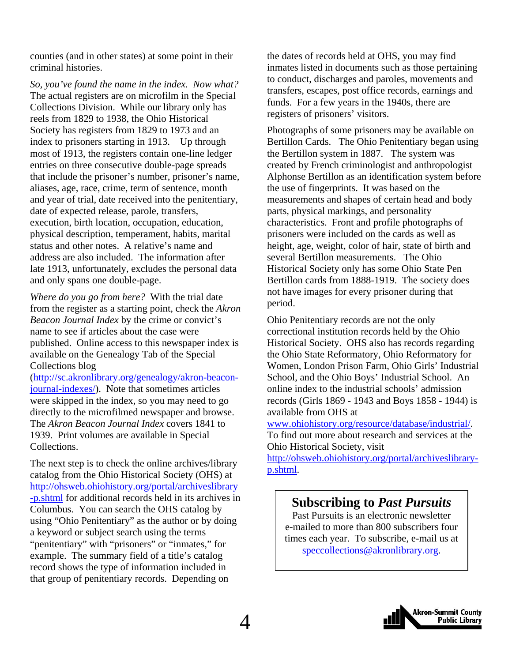counties (and in other states) at some point in their criminal histories.

*So, you've found the name in the index. Now what?* The actual registers are on microfilm in the Special Collections Division. While our library only has reels from 1829 to 1938, the Ohio Historical Society has registers from 1829 to 1973 and an index to prisoners starting in 1913. Up through most of 1913, the registers contain one-line ledger entries on three consecutive double-page spreads that include the prisoner's number, prisoner's name, aliases, age, race, crime, term of sentence, month and year of trial, date received into the penitentiary, date of expected release, parole, transfers, execution, birth location, occupation, education, physical description, temperament, habits, marital status and other notes. A relative's name and address are also included. The information after late 1913, unfortunately, excludes the personal data and only spans one double-page.

*Where do you go from here?* With the trial date from the register as a starting point, check the *Akron Beacon Journal Index* by the crime or convict's name to see if articles about the case were published. Online access to this newspaper index is available on the Genealogy Tab of the Special Collections blog

(http://sc.akronlibrary.org/genealogy/akron-beaconjournal-indexes/). Note that sometimes articles were skipped in the index, so you may need to go directly to the microfilmed newspaper and browse. The *Akron Beacon Journal Index* covers 1841 to 1939. Print volumes are available in Special Collections.

The next step is to check the online archives/library catalog from the Ohio Historical Society (OHS) at http://ohsweb.ohiohistory.org/portal/archiveslibrary [-p.shtml for additional records held in its archives in](http://ohsweb.ohiohistory.org/portal/archiveslibrary-p.shtml) Columbus. You can search the OHS catalog by using "Ohio Penitentiary" as the author or by doing a keyword or subject search using the terms "penitentiary" with "prisoners" or "inmates," for example. The summary field of a title's catalog record shows the type of information included in that group of penitentiary records. Depending on

the dates of records held at OHS, you may find inmates listed in documents such as those pertaining to conduct, discharges and paroles, movements and transfers, escapes, post office records, earnings and funds. For a few years in the 1940s, there are registers of prisoners' visitors.

Photographs of some prisoners may be available on Bertillon Cards. The Ohio Penitentiary began using the Bertillon system in 1887. The system was created by French criminologist and anthropologist Alphonse Bertillon as an identification system before the use of fingerprints. It was based on the measurements and shapes of certain head and body parts, physical markings, and personality characteristics. Front and profile photographs of prisoners were included on the cards as well as height, age, weight, color of hair, state of birth and several Bertillon measurements. The Ohio Historical Society only has some Ohio State Pen Bertillon cards from 1888-1919. The society does not have images for every prisoner during that period.

Ohio Penitentiary records are not the only correctional institution records held by the Ohio Historical Society. OHS also has records regarding the Ohio State Reformatory, Ohio Reformatory for Women, London Prison Farm, Ohio Girls' Industrial School, and the Ohio Boys' Industrial School. An online index to the industrial schools' admission records (Girls 1869 - 1943 and Boys 1858 - 1944) is available from OHS at

www.ohiohistory.org/resource/database/industrial/. To find out more about research and services at the Ohio Historical Society, visit

http://ohsweb.ohiohistory.org/portal/archiveslibraryp.shtml.

# **Subscribing to** *Past Pursuits*

Past Pursuits is an electronic newsletter e-mailed to more than 800 subscribers four times each year. To subscribe, e-mail us at speccollections@akronlibrary.org.

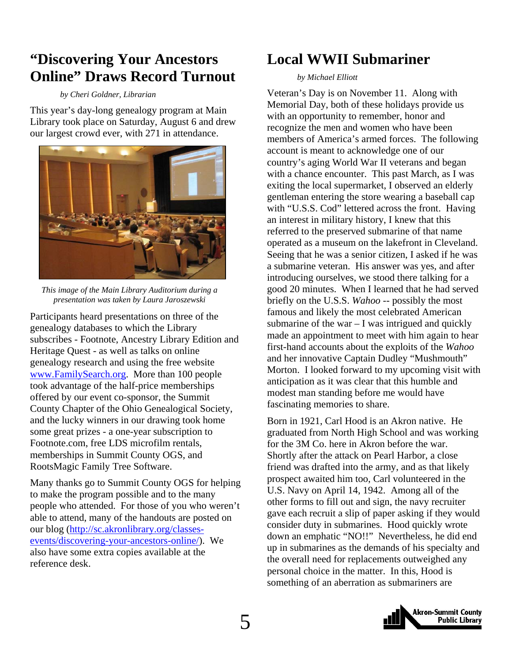# <span id="page-4-0"></span>**"Discovering Your Ancestors Online" Draws Record Turnout**

#### *by Cheri Goldner, Librarian*

This year's day-long genealogy program at Main Library took place on Saturday, August 6 and drew our largest crowd ever, with 271 in attendance.



*This image of the Main Library Auditorium during a presentation was taken by Laura Jaroszewski*

Participants heard presentations on three of the genealogy databases to which the Library subscribes - Footnote, Ancestry Library Edition and Heritage Quest - as well as talks on online genealogy research and using the free website www.FamilySearch.org. More than 100 people took advantage of the half-price memberships offered by our event co-sponsor, the Summit County Chapter of the Ohio Genealogical Society, and the lucky winners in our drawing took home some great prizes - a one-year subscription to Footnote.com, free LDS microfilm rentals, memberships in Summit County OGS, and RootsMagic Family Tree Software.

Many thanks go to Summit County OGS for helping to make the program possible and to the many people who attended. For those of you who weren't able to attend, many of the handouts are posted on our blog (http://sc.akronlibrary.org/classesevents/discovering-your-ancestors-online/). We also have some extra copies available at the reference desk.

# **Local WWII Submariner**

#### *by Michael Elliott*

Veteran's Day is on November 11. Along with Memorial Day, both of these holidays provide us with an opportunity to remember, honor and recognize the men and women who have been members of America's armed forces. The following account is meant to acknowledge one of our country's aging World War II veterans and began with a chance encounter. This past March, as I was exiting the local supermarket, I observed an elderly gentleman entering the store wearing a baseball cap with "U.S.S. Cod" lettered across the front. Having an interest in military history, I knew that this referred to the preserved submarine of that name operated as a museum on the lakefront in Cleveland. Seeing that he was a senior citizen, I asked if he was a submarine veteran. His answer was yes, and after introducing ourselves, we stood there talking for a good 20 minutes. When I learned that he had served briefly on the U.S.S. *Wahoo* -- possibly the most famous and likely the most celebrated American submarine of the war  $-1$  was intrigued and quickly made an appointment to meet with him again to hear first-hand accounts about the exploits of the *Wahoo* and her innovative Captain Dudley "Mushmouth" Morton. I looked forward to my upcoming visit with anticipation as it was clear that this humble and modest man standing before me would have fascinating memories to share.

Born in 1921, Carl Hood is an Akron native. He graduated from North High School and was working for the 3M Co. here in Akron before the war. Shortly after the attack on Pearl Harbor, a close friend was drafted into the army, and as that likely prospect awaited him too, Carl volunteered in the U.S. Navy on April 14, 1942. Among all of the other forms to fill out and sign, the navy recruiter gave each recruit a slip of paper asking if they would consider duty in submarines. Hood quickly wrote down an emphatic "NO!!" Nevertheless, he did end up in submarines as the demands of his specialty and the overall need for replacements outweighed any personal choice in the matter. In this, Hood is something of an aberration as submariners are

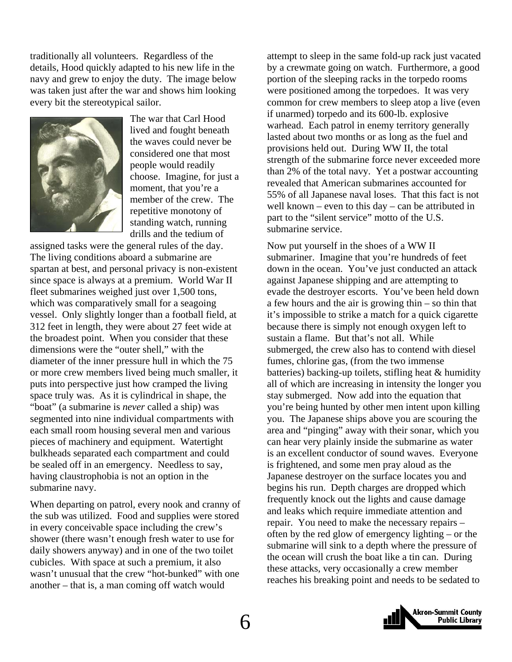traditionally all volunteers. Regardless of the details, Hood quickly adapted to his new life in the navy and grew to enjoy the duty. The image below was taken just after the war and shows him looking every bit the stereotypical sailor.



The war that Carl Hood lived and fought beneath the waves could never be considered one that most people would readily choose. Imagine, for just a moment, that you're a member of the crew. The repetitive monotony of standing watch, running drills and the tedium of

assigned tasks were the general rules of the day. The living conditions aboard a submarine are spartan at best, and personal privacy is non-existent since space is always at a premium. World War II fleet submarines weighed just over 1,500 tons, which was comparatively small for a seagoing vessel. Only slightly longer than a football field, at 312 feet in length, they were about 27 feet wide at the broadest point. When you consider that these dimensions were the "outer shell," with the diameter of the inner pressure hull in which the 75 or more crew members lived being much smaller, it puts into perspective just how cramped the living space truly was. As it is cylindrical in shape, the "boat" (a submarine is *never* called a ship) was segmented into nine individual compartments with each small room housing several men and various pieces of machinery and equipment. Watertight bulkheads separated each compartment and could be sealed off in an emergency. Needless to say, having claustrophobia is not an option in the submarine navy.

When departing on patrol, every nook and cranny of the sub was utilized. Food and supplies were stored in every conceivable space including the crew's shower (there wasn't enough fresh water to use for daily showers anyway) and in one of the two toilet cubicles. With space at such a premium, it also wasn't unusual that the crew "hot-bunked" with one another – that is, a man coming off watch would

attempt to sleep in the same fold-up rack just vacated by a crewmate going on watch. Furthermore, a good portion of the sleeping racks in the torpedo rooms were positioned among the torpedoes. It was very common for crew members to sleep atop a live (even if unarmed) torpedo and its 600-lb. explosive warhead. Each patrol in enemy territory generally lasted about two months or as long as the fuel and provisions held out. During WW II, the total strength of the submarine force never exceeded more than 2% of the total navy. Yet a postwar accounting revealed that American submarines accounted for 55% of all Japanese naval loses. That this fact is not well known – even to this day – can be attributed in part to the "silent service" motto of the U.S. submarine service.

Now put yourself in the shoes of a WW II submariner. Imagine that you're hundreds of feet down in the ocean. You've just conducted an attack against Japanese shipping and are attempting to evade the destroyer escorts. You've been held down a few hours and the air is growing thin – so thin that it's impossible to strike a match for a quick cigarette because there is simply not enough oxygen left to sustain a flame. But that's not all. While submerged, the crew also has to contend with diesel fumes, chlorine gas, (from the two immense batteries) backing-up toilets, stifling heat & humidity all of which are increasing in intensity the longer you stay submerged. Now add into the equation that you're being hunted by other men intent upon killing you. The Japanese ships above you are scouring the area and "pinging" away with their sonar, which you can hear very plainly inside the submarine as water is an excellent conductor of sound waves. Everyone is frightened, and some men pray aloud as the Japanese destroyer on the surface locates you and begins his run. Depth charges are dropped which frequently knock out the lights and cause damage and leaks which require immediate attention and repair. You need to make the necessary repairs – often by the red glow of emergency lighting – or the submarine will sink to a depth where the pressure of the ocean will crush the boat like a tin can. During these attacks, very occasionally a crew member reaches his breaking point and needs to be sedated to

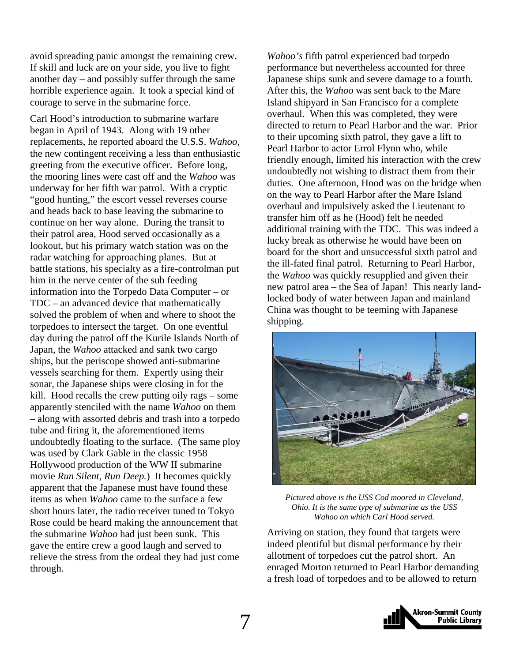avoid spreading panic amongst the remaining crew. If skill and luck are on your side, you live to fight another day – and possibly suffer through the same horrible experience again. It took a special kind of courage to serve in the submarine force.

Carl Hood's introduction to submarine warfare began in April of 1943. Along with 19 other replacements, he reported aboard the U.S.S. *Wahoo,* the new contingent receiving a less than enthusiastic greeting from the executive officer. Before long, the mooring lines were cast off and the *Wahoo* was underway for her fifth war patrol. With a cryptic "good hunting," the escort vessel reverses course and heads back to base leaving the submarine to continue on her way alone. During the transit to their patrol area, Hood served occasionally as a lookout, but his primary watch station was on the radar watching for approaching planes. But at battle stations, his specialty as a fire-controlman put him in the nerve center of the sub feeding information into the Torpedo Data Computer – or TDC – an advanced device that mathematically solved the problem of when and where to shoot the torpedoes to intersect the target. On one eventful day during the patrol off the Kurile Islands North of Japan, the *Wahoo* attacked and sank two cargo ships, but the periscope showed anti-submarine vessels searching for them. Expertly using their sonar, the Japanese ships were closing in for the kill. Hood recalls the crew putting oily rags – some apparently stenciled with the name *Wahoo* on them – along with assorted debris and trash into a torpedo tube and firing it, the aforementioned items undoubtedly floating to the surface. (The same ploy was used by Clark Gable in the classic 1958 Hollywood production of the WW II submarine movie *Run Silent, Run Deep.*) It becomes quickly apparent that the Japanese must have found these items as when *Wahoo* came to the surface a few short hours later, the radio receiver tuned to Tokyo Rose could be heard making the announcement that the submarine *Wahoo* had just been sunk. This gave the entire crew a good laugh and served to relieve the stress from the ordeal they had just come through.

*Wahoo's* fifth patrol experienced bad torpedo performance but nevertheless accounted for three Japanese ships sunk and severe damage to a fourth. After this, the *Wahoo* was sent back to the Mare Island shipyard in San Francisco for a complete overhaul. When this was completed, they were directed to return to Pearl Harbor and the war. Prior to their upcoming sixth patrol, they gave a lift to Pearl Harbor to actor Errol Flynn who, while friendly enough, limited his interaction with the crew undoubtedly not wishing to distract them from their duties. One afternoon, Hood was on the bridge when on the way to Pearl Harbor after the Mare Island overhaul and impulsively asked the Lieutenant to transfer him off as he (Hood) felt he needed additional training with the TDC. This was indeed a lucky break as otherwise he would have been on board for the short and unsuccessful sixth patrol and the ill-fated final patrol. Returning to Pearl Harbor, the *Wahoo* was quickly resupplied and given their new patrol area – the Sea of Japan! This nearly landlocked body of water between Japan and mainland China was thought to be teeming with Japanese shipping.



*Pictured above is the USS Cod moored in Cleveland, Ohio. It is the same type of submarine as the USS Wahoo on which Carl Hood served.*

Arriving on station, they found that targets were indeed plentiful but dismal performance by their allotment of torpedoes cut the patrol short. An enraged Morton returned to Pearl Harbor demanding a fresh load of torpedoes and to be allowed to return

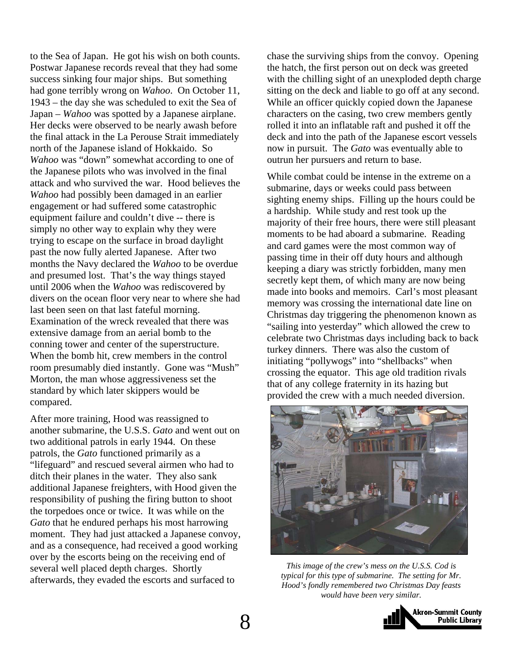to the Sea of Japan. He got his wish on both counts. Postwar Japanese records reveal that they had some success sinking four major ships. But something had gone terribly wrong on *Wahoo*. On October 11, 1943 – the day she was scheduled to exit the Sea of Japan – *Wahoo* was spotted by a Japanese airplane. Her decks were observed to be nearly awash before the final attack in the La Perouse Strait immediately north of the Japanese island of Hokkaido. So *Wahoo* was "down" somewhat according to one of the Japanese pilots who was involved in the final attack and who survived the war. Hood believes the *Wahoo* had possibly been damaged in an earlier engagement or had suffered some catastrophic equipment failure and couldn't dive -- there is simply no other way to explain why they were trying to escape on the surface in broad daylight past the now fully alerted Japanese. After two months the Navy declared the *Wahoo* to be overdue and presumed lost. That's the way things stayed until 2006 when the *Wahoo* was rediscovered by divers on the ocean floor very near to where she had last been seen on that last fateful morning. Examination of the wreck revealed that there was extensive damage from an aerial bomb to the conning tower and center of the superstructure. When the bomb hit, crew members in the control room presumably died instantly. Gone was "Mush" Morton, the man whose aggressiveness set the standard by which later skippers would be compared.

After more training, Hood was reassigned to another submarine, the U.S.S. *Gato* and went out on two additional patrols in early 1944. On these patrols, the *Gato* functioned primarily as a "lifeguard" and rescued several airmen who had to ditch their planes in the water. They also sank additional Japanese freighters, with Hood given the responsibility of pushing the firing button to shoot the torpedoes once or twice. It was while on the *Gato* that he endured perhaps his most harrowing moment. They had just attacked a Japanese convoy, and as a consequence, had received a good working over by the escorts being on the receiving end of several well placed depth charges. Shortly afterwards, they evaded the escorts and surfaced to

chase the surviving ships from the convoy. Opening the hatch, the first person out on deck was greeted with the chilling sight of an unexploded depth charge sitting on the deck and liable to go off at any second. While an officer quickly copied down the Japanese characters on the casing, two crew members gently rolled it into an inflatable raft and pushed it off the deck and into the path of the Japanese escort vessels now in pursuit. The *Gato* was eventually able to outrun her pursuers and return to base.

While combat could be intense in the extreme on a submarine, days or weeks could pass between sighting enemy ships. Filling up the hours could be a hardship. While study and rest took up the majority of their free hours, there were still pleasant moments to be had aboard a submarine. Reading and card games were the most common way of passing time in their off duty hours and although keeping a diary was strictly forbidden, many men secretly kept them, of which many are now being made into books and memoirs. Carl's most pleasant memory was crossing the international date line on Christmas day triggering the phenomenon known as "sailing into yesterday" which allowed the crew to celebrate two Christmas days including back to back turkey dinners. There was also the custom of initiating "pollywogs" into "shellbacks" when crossing the equator. This age old tradition rivals that of any college fraternity in its hazing but provided the crew with a much needed diversion.



*This image of the crew's mess on the U.S.S. Cod is typical for this type of submarine. The setting for Mr. Hood's fondly remembered two Christmas Day feasts would have been very similar.* 

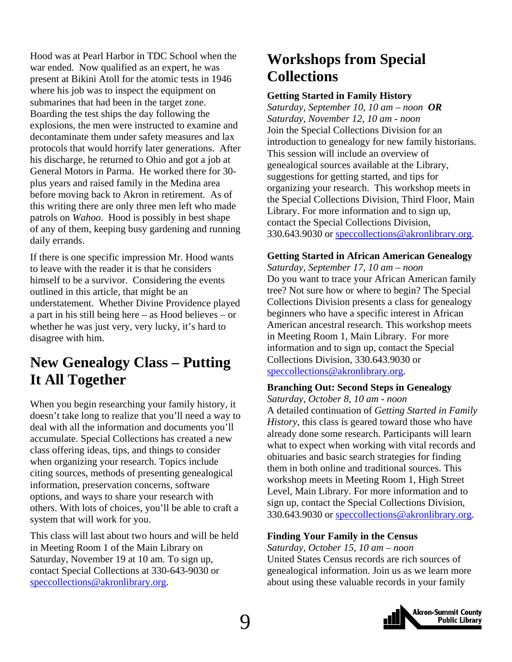<span id="page-8-0"></span>Hood was at Pearl Harbor in TDC School when the war ended. Now qualified as an expert, he was present at Bikini Atoll for the atomic tests in 1946 where his job was to inspect the equipment on submarines that had been in the target zone. Boarding the test ships the day following the explosions, the men were instructed to examine and decontaminate them under safety measures and lax protocols that would horrify later generations. After his discharge, he returned to Ohio and got a job at General Motors in Parma. He worked there for 30 plus years and raised family in the Medina area before moving back to Akron in retirement. As of this writing there are only three men left who made patrols on *Wahoo*. Hood is possibly in best shape of any of them, keeping busy gardening and running daily errands.

If there is one specific impression Mr. Hood wants to leave with the reader it is that he considers himself to be a survivor. Considering the events outlined in this article, that might be an understatement. Whether Divine Providence played a part in his still being here – as Hood believes – or whether he was just very, very lucky, it's hard to disagree with him.

# **New Genealogy Class – Putting It All Together**

When you begin researching your family history, it doesn't take long to realize that you'll need a way to deal with all the information and documents you'll accumulate. Special Collections has created a new class offering ideas, tips, and things to consider when organizing your research. Topics include citing sources, methods of presenting genealogical information, preservation concerns, software options, and ways to share your research with others. With lots of choices, you'll be able to craft a system that will work for you.

This class will last about two hours and will be held in Meeting Room 1 of the Main Library on Saturday, November 19 at 10 am. To sign up, contact Special Collections at 330-643-9030 or speccollections@akronlibrary.org.

# **Workshops from Special Collections**

#### **Getting Started in Family History**

*Saturday, September 10, 10 am – noon OR Saturday, November 12, 10 am - noon*  Join the Special Collections Division for an introduction to genealogy for new family historians. This session will include an overview of genealogical sources available at the Library, suggestions for getting started, and tips for organizing your research. This workshop meets in the Special Collections Division, Third Floor, Main Library. For more information and to sign up, contact the Special Collections Division, 330.643.9030 or speccollections@akronlibrary.org.

#### **Getting Started in African American Genealogy**

*Saturday, September 17, 10 am – noon*  Do you want to trace your African American family tree? Not sure how or where to begin? The Special Collections Division presents a class for genealogy beginners who have a specific interest in African American ancestral research. This workshop meets in Meeting Room 1, Main Library. For more information and to sign up, contact the Special Collections Division, 330.643.9030 or speccollections@akronlibrary.org.

#### **Branching Out: Second Steps in Genealogy**

*Saturday, October 8, 10 am - noon*  A detailed continuation of *Getting Started in Family History,* this class is geared toward those who have already done some research. Participants will learn what to expect when working with vital records and obituaries and basic search strategies for finding them in both online and traditional sources. This workshop meets in Meeting Room 1, High Street Level, Main Library. For more information and to sign up, contact the Special Collections Division, 330.643.9030 or speccollections@akronlibrary.org.

#### **Finding Your Family in the Census**

*Saturday, October 15, 10 am – noon*  United States Census records are rich sources of genealogical information. Join us as we learn more about using these valuable records in your family

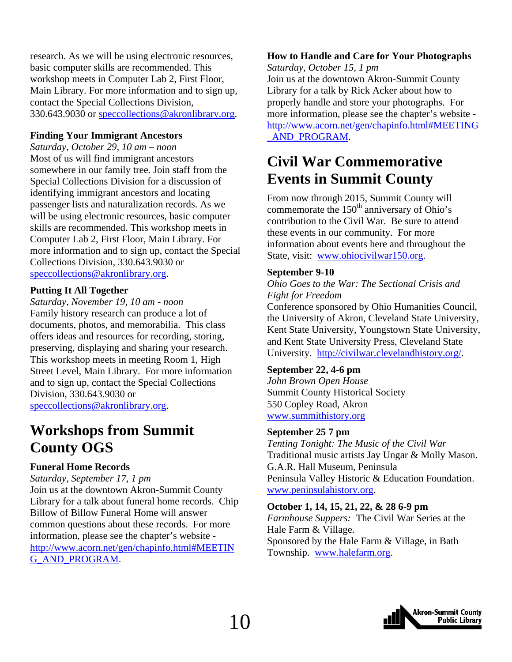<span id="page-9-0"></span>research. As we will be using electronic resources, basic computer skills are recommended. This workshop meets in Computer Lab 2, First Floor, Main Library. For more information and to sign up, contact the Special Collections Division, 330.643.9030 or speccollections@akronlibrary.org.

#### **Finding Your Immigrant Ancestors**

*Saturday, October 29, 10 am – noon*  Most of us will find immigrant ancestors somewhere in our family tree. Join staff from the Special Collections Division for a discussion of identifying immigrant ancestors and locating passenger lists and naturalization records. As we will be using electronic resources, basic computer skills are recommended. This workshop meets in Computer Lab 2, First Floor, Main Library. For more information and to sign up, contact the Special Collections Division, 330.643.9030 or speccollections@akronlibrary.org.

#### **Putting It All Together**

*Saturday, November 19, 10 am - noon*  Family history research can produce a lot of documents, photos, and memorabilia. This class offers ideas and resources for recording, storing, preserving, displaying and sharing your research. This workshop meets in meeting Room 1, High Street Level, Main Library. For more information and to sign up, contact the Special Collections Division, 330.643.9030 or speccollections@akronlibrary.org.

# **Workshops from Summit County OGS**

#### **Funeral Home Records**

*Saturday, September 17, 1 pm*  Join us at the downtown Akron-Summit County Library for a talk about funeral home records. Chip Billow of Billow Funeral Home will answer common questions about these records. For more information, please see the chapter's website [http://www.acorn.net/gen/chapinfo.html#MEETIN](http://www.acorn.net/gen/chapinfo.html#MEETING_AND_PROGRAM) G\_AND\_PROGRAM.

# **How to Handle and Care for Your Photographs**

*Saturday, October 15, 1 pm* 

Join us at the downtown Akron-Summit County Library for a talk by Rick Acker about how to properly handle and store your photographs. For more information, please see the chapter's website [http://www.acorn.net/gen/chapinfo.html#MEETING](http://www.acorn.net/gen/chapinfo.html#MEETING_AND_PROGRAM) \_AND\_PROGRAM.

# **Civil War Commemorative Events in Summit County**

From now through 2015, Summit County will commemorate the  $150<sup>th</sup>$  anniversary of Ohio's contribution to the Civil War. Be sure to attend these events in our community. For more information about events here and throughout the State, visit: www.ohiocivilwar150.org.

#### **September 9-10**

*Ohio Goes to the War: The Sectional Crisis and Fight for Freedom*

Conference sponsored by Ohio Humanities Council, the University of Akron, Cleveland State University, Kent State University, Youngstown State University, and Kent State University Press, Cleveland State University. http://civilwar.clevelandhistory.org/.

#### **September 22, 4-6 pm**

*John Brown Open House*  Summit County Historical Society 550 Copley Road, Akron www.summithistory.org

#### **September 25 7 pm**

*Tenting Tonight: The Music of the Civil War* Traditional music artists Jay Ungar & Molly Mason. G.A.R. Hall Museum, Peninsula Peninsula Valley Historic & Education Foundation. www.peninsulahistory.org.

#### **October 1, 14, 15, 21, 22, & 28 6-9 pm**

*Farmhouse Suppers:* The Civil War Series at the Hale Farm & Village. Sponsored by the Hale Farm & Village, in Bath Township. www.halefarm.org.

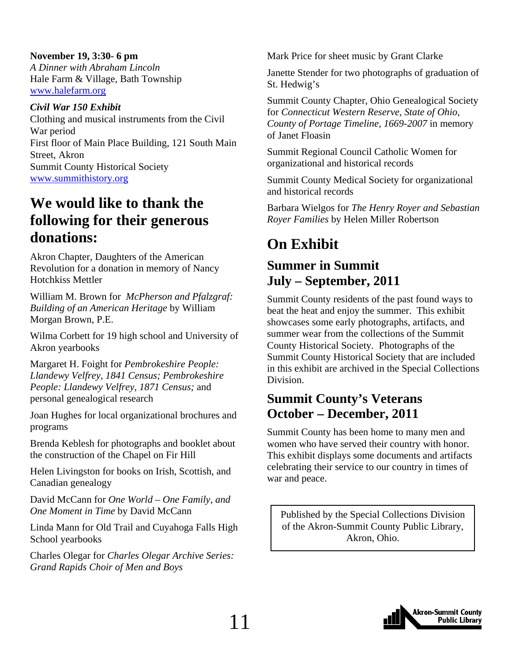<span id="page-10-0"></span>**November 19, 3:30- 6 pm**  *A Dinner with Abraham Lincoln* Hale Farm & Village, Bath Township www.halefarm.org

*Civil War 150 Exhibit* Clothing and musical instruments from the Civil War period First floor of Main Place Building, 121 South Main Street, Akron Summit County Historical Society www.summithistory.org

# **We would like to thank the following for their generous donations:**

Akron Chapter, Daughters of the American Revolution for a donation in memory of Nancy Hotchkiss Mettler

William M. Brown for *McPherson and Pfalzgraf: Building of an American Heritage* by William Morgan Brown, P.E.

Wilma Corbett for 19 high school and University of Akron yearbooks

Margaret H. Foight for *Pembrokeshire People: Llandewy Velfrey, 1841 Census; Pembrokeshire People: Llandewy Velfrey, 1871 Census;* and personal genealogical research

Joan Hughes for local organizational brochures and programs

Brenda Keblesh for photographs and booklet about the construction of the Chapel on Fir Hill

Helen Livingston for books on Irish, Scottish, and Canadian genealogy

David McCann for *One World – One Family, and One Moment in Time* by David McCann

Linda Mann for Old Trail and Cuyahoga Falls High School yearbooks

Charles Olegar for *Charles Olegar Archive Series: Grand Rapids Choir of Men and Boys*

Mark Price for sheet music by Grant Clarke

Janette Stender for two photographs of graduation of St. Hedwig's

Summit County Chapter, Ohio Genealogical Society for *Connecticut Western Reserve, State of Ohio, County of Portage Timeline, 1669-2007* in memory of Janet Floasin

Summit Regional Council Catholic Women for organizational and historical records

Summit County Medical Society for organizational and historical records

Barbara Wielgos for *The Henry Royer and Sebastian Royer Families* by Helen Miller Robertson

# **On Exhibit**

# **Summer in Summit July – September, 2011**

Summit County residents of the past found ways to beat the heat and enjoy the summer. This exhibit showcases some early photographs, artifacts, and summer wear from the collections of the Summit County Historical Society. Photographs of the Summit County Historical Society that are included in this exhibit are archived in the Special Collections Division.

# **Summit County's Veterans October – December, 2011**

Summit County has been home to many men and women who have served their country with honor. This exhibit displays some documents and artifacts celebrating their service to our country in times of war and peace.

Published by the Special Collections Division of the Akron-Summit County Public Library, Akron, Ohio.

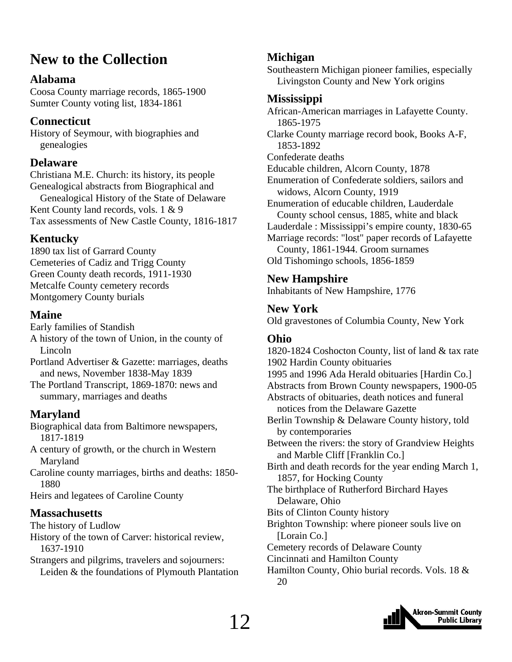# <span id="page-11-0"></span>**New to the Collection**

### **Alabama**

Coosa County marriage records, 1865-1900 Sumter County voting list, 1834-1861

### **Connecticut**

History of Seymour, with biographies and genealogies

### **Delaware**

Christiana M.E. Church: its history, its people Genealogical abstracts from Biographical and Genealogical History of the State of Delaware Kent County land records, vols. 1 & 9 Tax assessments of New Castle County, 1816-1817

# **Kentucky**

1890 tax list of Garrard County Cemeteries of Cadiz and Trigg County Green County death records, 1911-1930 Metcalfe County cemetery records Montgomery County burials

# **Maine**

Early families of Standish A history of the town of Union, in the county of Lincoln

Portland Advertiser & Gazette: marriages, deaths and news, November 1838-May 1839

The Portland Transcript, 1869-1870: news and summary, marriages and deaths

# **Maryland**

Biographical data from Baltimore newspapers, 1817-1819

A century of growth, or the church in Western Maryland

Caroline county marriages, births and deaths: 1850- 1880

Heirs and legatees of Caroline County

## **Massachusetts**

The history of Ludlow

History of the town of Carver: historical review, 1637-1910

Strangers and pilgrims, travelers and sojourners: Leiden & the foundations of Plymouth Plantation

# **Michigan**

Southeastern Michigan pioneer families, especially Livingston County and New York origins

## **Mississippi**

African-American marriages in Lafayette County. 1865-1975 Clarke County marriage record book, Books A-F, 1853-1892 Confederate deaths Educable children, Alcorn County, 1878 Enumeration of Confederate soldiers, sailors and widows, Alcorn County, 1919 Enumeration of educable children, Lauderdale County school census, 1885, white and black Lauderdale : Mississippi's empire county, 1830-65 Marriage records: "lost" paper records of Lafayette County, 1861-1944. Groom surnames Old Tishomingo schools, 1856-1859

## **New Hampshire**

Inhabitants of New Hampshire, 1776

# **New York**

Old gravestones of Columbia County, New York

# **Ohio**

1820-1824 Coshocton County, list of land & tax rate 1902 Hardin County obituaries 1995 and 1996 Ada Herald obituaries [Hardin Co.] Abstracts from Brown County newspapers, 1900-05 Abstracts of obituaries, death notices and funeral notices from the Delaware Gazette Berlin Township & Delaware County history, told by contemporaries Between the rivers: the story of Grandview Heights and Marble Cliff [Franklin Co.] Birth and death records for the year ending March 1, 1857, for Hocking County The birthplace of Rutherford Birchard Hayes Delaware, Ohio Bits of Clinton County history Brighton Township: where pioneer souls live on [Lorain Co.] Cemetery records of Delaware County Cincinnati and Hamilton County Hamilton County, Ohio burial records. Vols. 18 & 20

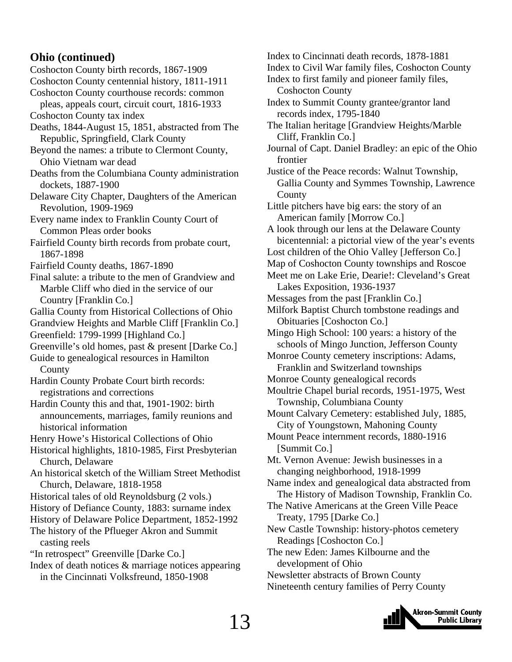#### **Ohio (continued)**

Coshocton County birth records, 1867-1909

- Coshocton County centennial history, 1811-1911 Coshocton County courthouse records: common
- pleas, appeals court, circuit court, 1816-1933
- Coshocton County tax index
- Deaths, 1844-August 15, 1851, abstracted from The Republic, Springfield, Clark County
- Beyond the names: a tribute to Clermont County, Ohio Vietnam war dead
- Deaths from the Columbiana County administration dockets, 1887-1900

Delaware City Chapter, Daughters of the American Revolution, 1909-1969

Every name index to Franklin County Court of Common Pleas order books

Fairfield County birth records from probate court, 1867-1898

- Fairfield County deaths, 1867-1890
- Final salute: a tribute to the men of Grandview and Marble Cliff who died in the service of our Country [Franklin Co.]
- Gallia County from Historical Collections of Ohio
- Grandview Heights and Marble Cliff [Franklin Co.] Greenfield: 1799-1999 [Highland Co.]
- Greenville's old homes, past & present [Darke Co.]
- Guide to genealogical resources in Hamilton County
- Hardin County Probate Court birth records: registrations and corrections
- Hardin County this and that, 1901-1902: birth announcements, marriages, family reunions and historical information
- Henry Howe's Historical Collections of Ohio

Historical highlights, 1810-1985, First Presbyterian Church, Delaware

An historical sketch of the William Street Methodist Church, Delaware, 1818-1958

- Historical tales of old Reynoldsburg (2 vols.)
- History of Defiance County, 1883: surname index
- History of Delaware Police Department, 1852-1992 The history of the Pflueger Akron and Summit
- casting reels
- "In retrospect" Greenville [Darke Co.]
- Index of death notices & marriage notices appearing in the Cincinnati Volksfreund, 1850-1908
- Index to Cincinnati death records, 1878-1881
- Index to Civil War family files, Coshocton County
- Index to first family and pioneer family files, Coshocton County
- Index to Summit County grantee/grantor land records index, 1795-1840
- The Italian heritage [Grandview Heights/Marble Cliff, Franklin Co.]
- Journal of Capt. Daniel Bradley: an epic of the Ohio frontier
- Justice of the Peace records: Walnut Township, Gallia County and Symmes Township, Lawrence County

Little pitchers have big ears: the story of an American family [Morrow Co.]

A look through our lens at the Delaware County bicentennial: a pictorial view of the year's events

- Lost children of the Ohio Valley [Jefferson Co.]
- Map of Coshocton County townships and Roscoe
- Meet me on Lake Erie, Dearie!: Cleveland's Great Lakes Exposition, 1936-1937
- Messages from the past [Franklin Co.]
- Milfork Baptist Church tombstone readings and Obituaries [Coshocton Co.]
- Mingo High School: 100 years: a history of the schools of Mingo Junction, Jefferson County
- Monroe County cemetery inscriptions: Adams, Franklin and Switzerland townships
- Monroe County genealogical records
- Moultrie Chapel burial records, 1951-1975, West Township, Columbiana County
- Mount Calvary Cemetery: established July, 1885, City of Youngstown, Mahoning County
- Mount Peace internment records, 1880-1916 [Summit Co.]
- Mt. Vernon Avenue: Jewish businesses in a changing neighborhood, 1918-1999
- Name index and genealogical data abstracted from The History of Madison Township, Franklin Co.
- The Native Americans at the Green Ville Peace Treaty, 1795 [Darke Co.]
- New Castle Township: history-photos cemetery Readings [Coshocton Co.]
- The new Eden: James Kilbourne and the development of Ohio

Newsletter abstracts of Brown County Nineteenth century families of Perry County

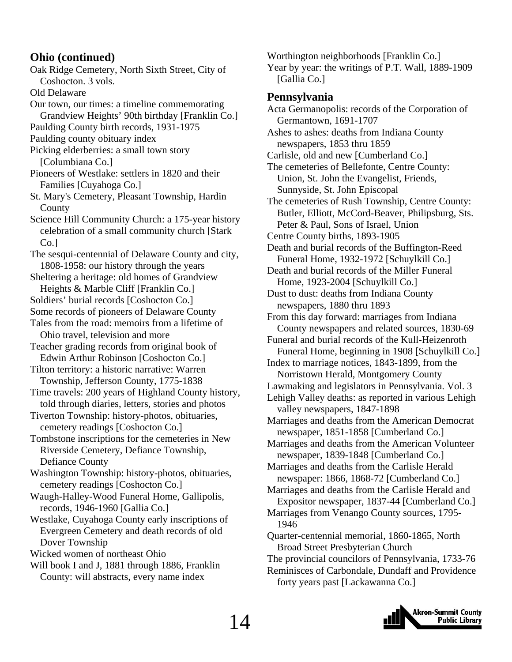#### **Ohio (continued)**

Oak Ridge Cemetery, North Sixth Street, City of Coshocton. 3 vols. Old Delaware Our town, our times: a timeline commemorating Grandview Heights' 90th birthday [Franklin Co.] Paulding County birth records, 1931-1975 Paulding county obituary index Picking elderberries: a small town story [Columbiana Co.] Pioneers of Westlake: settlers in 1820 and their Families [Cuyahoga Co.] St. Mary's Cemetery, Pleasant Township, Hardin **County** Science Hill Community Church: a 175-year history celebration of a small community church [Stark Co.] The sesqui-centennial of Delaware County and city, 1808-1958: our history through the years Sheltering a heritage: old homes of Grandview Heights & Marble Cliff [Franklin Co.] Soldiers' burial records [Coshocton Co.] Some records of pioneers of Delaware County Tales from the road: memoirs from a lifetime of Ohio travel, television and more Teacher grading records from original book of Edwin Arthur Robinson [Coshocton Co.] Tilton territory: a historic narrative: Warren Township, Jefferson County, 1775-1838 Time travels: 200 years of Highland County history, told through diaries, letters, stories and photos Tiverton Township: history-photos, obituaries, cemetery readings [Coshocton Co.] Tombstone inscriptions for the cemeteries in New Riverside Cemetery, Defiance Township, Defiance County Washington Township: history-photos, obituaries, cemetery readings [Coshocton Co.] Waugh-Halley-Wood Funeral Home, Gallipolis, records, 1946-1960 [Gallia Co.] Westlake, Cuyahoga County early inscriptions of Evergreen Cemetery and death records of old Dover Township Wicked women of northeast Ohio Will book I and J, 1881 through 1886, Franklin County: will abstracts, every name index

Worthington neighborhoods [Franklin Co.] Year by year: the writings of P.T. Wall, 1889-1909 [Gallia Co.] **Pennsylvania**  Acta Germanopolis: records of the Corporation of Germantown, 1691-1707 Ashes to ashes: deaths from Indiana County newspapers, 1853 thru 1859 Carlisle, old and new [Cumberland Co.] The cemeteries of Bellefonte, Centre County: Union, St. John the Evangelist, Friends, Sunnyside, St. John Episcopal The cemeteries of Rush Township, Centre County: Butler, Elliott, McCord-Beaver, Philipsburg, Sts. Peter & Paul, Sons of Israel, Union Centre County births, 1893-1905 Death and burial records of the Buffington-Reed Funeral Home, 1932-1972 [Schuylkill Co.] Death and burial records of the Miller Funeral Home, 1923-2004 [Schuylkill Co.] Dust to dust: deaths from Indiana County newspapers, 1880 thru 1893 From this day forward: marriages from Indiana County newspapers and related sources, 1830-69 Funeral and burial records of the Kull-Heizenroth Funeral Home, beginning in 1908 [Schuylkill Co.] Index to marriage notices, 1843-1899, from the Norristown Herald, Montgomery County Lawmaking and legislators in Pennsylvania. Vol. 3 Lehigh Valley deaths: as reported in various Lehigh valley newspapers, 1847-1898 Marriages and deaths from the American Democrat newspaper, 1851-1858 [Cumberland Co.] Marriages and deaths from the American Volunteer newspaper, 1839-1848 [Cumberland Co.] Marriages and deaths from the Carlisle Herald newspaper: 1866, 1868-72 [Cumberland Co.] Marriages and deaths from the Carlisle Herald and Expositor newspaper, 1837-44 [Cumberland Co.] Marriages from Venango County sources, 1795- 1946 Quarter-centennial memorial, 1860-1865, North Broad Street Presbyterian Church The provincial councilors of Pennsylvania, 1733-76 Reminisces of Carbondale, Dundaff and Providence forty years past [Lackawanna Co.]

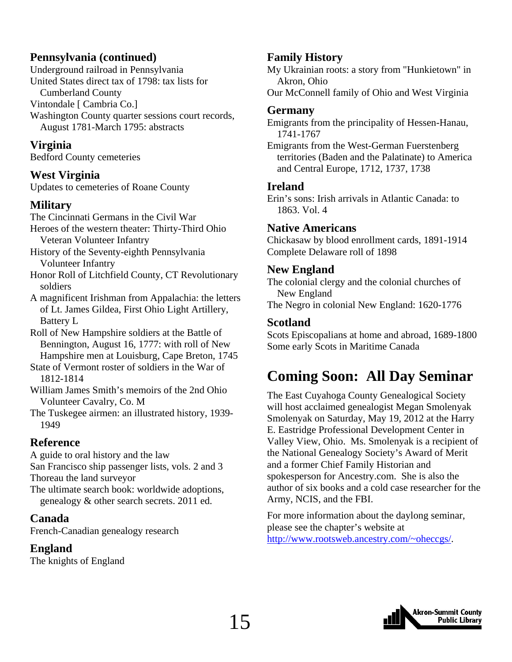### <span id="page-14-0"></span>**Pennsylvania (continued)**

Underground railroad in Pennsylvania United States direct tax of 1798: tax lists for Cumberland County Vintondale [ Cambria Co.] Washington County quarter sessions court records, August 1781-March 1795: abstracts

### **Virginia**

Bedford County cemeteries

### **West Virginia**

Updates to cemeteries of Roane County

## **Military**

The Cincinnati Germans in the Civil War Heroes of the western theater: Thirty-Third Ohio Veteran Volunteer Infantry

History of the Seventy-eighth Pennsylvania Volunteer Infantry

Honor Roll of Litchfield County, CT Revolutionary soldiers

A magnificent Irishman from Appalachia: the letters of Lt. James Gildea, First Ohio Light Artillery, Battery L

Roll of New Hampshire soldiers at the Battle of Bennington, August 16, 1777: with roll of New Hampshire men at Louisburg, Cape Breton, 1745

State of Vermont roster of soldiers in the War of 1812-1814

William James Smith's memoirs of the 2nd Ohio Volunteer Cavalry, Co. M

The Tuskegee airmen: an illustrated history, 1939- 1949

### **Reference**

A guide to oral history and the law San Francisco ship passenger lists, vols. 2 and 3 Thoreau the land surveyor The ultimate search book: worldwide adoptions, genealogy & other search secrets. 2011 ed.

### **Canada**

French-Canadian genealogy research

## **England**

The knights of England

## **Family History**

My Ukrainian roots: a story from "Hunkietown" in Akron, Ohio Our McConnell family of Ohio and West Virginia

# **Germany**

Emigrants from the principality of Hessen-Hanau, 1741-1767

Emigrants from the West-German Fuerstenberg territories (Baden and the Palatinate) to America and Central Europe, 1712, 1737, 1738

### **Ireland**

Erin's sons: Irish arrivals in Atlantic Canada: to 1863. Vol. 4

### **Native Americans**

Chickasaw by blood enrollment cards, 1891-1914 Complete Delaware roll of 1898

### **New England**

The colonial clergy and the colonial churches of New England

The Negro in colonial New England: 1620-1776

### **Scotland**

Scots Episcopalians at home and abroad, 1689-1800 Some early Scots in Maritime Canada

# **Coming Soon: All Day Seminar**

The East Cuyahoga County Genealogical Society will host acclaimed genealogist Megan Smolenyak Smolenyak on Saturday, May 19, 2012 at the Harry E. Eastridge Professional Development Center in Valley View, Ohio. Ms. Smolenyak is a recipient of the National Genealogy Society's Award of Merit and a former Chief Family Historian and spokesperson for Ancestry.com. She is also the author of six books and a cold case researcher for the Army, NCIS, and the FBI.

For more information about the daylong seminar, please see the chapter's website at http://www.rootsweb.ancestry.com/~oheccgs/.